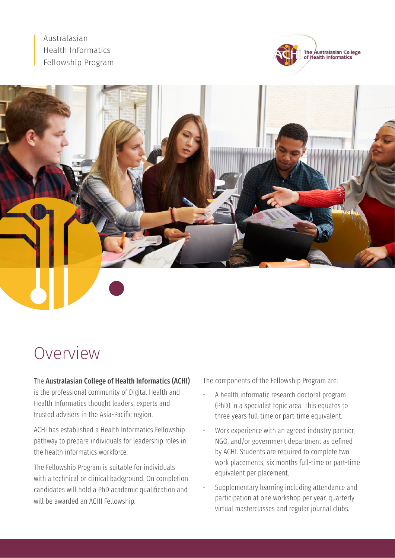Australasian Health Informatics Fellowship Program





# Overview

#### The Australasian College of Health Informatics (ACHI)

is the professional community of Digital Health and Health Informatics thought leaders, experts and trusted advisers in the Asia-Pacific region.

ACHI has established a Health Informatics Fellowship pathway to prepare individuals for leadership roles in the health informatics workforce.

The Fellowship Program is suitable for individuals with a technical or clinical background. On completion candidates will hold a PhD academic qualification and will be awarded an ACHI Fellowship.

The components of the Fellowship Program are:

- A health informatic research doctoral program (PhD) in a specialist topic area. This equates to three years full-time or part-time equivalent.
- Work experience with an agreed industry partner, NGO, and/or government department as defined by ACHI. Students are required to complete two work placements, six months full-time or part-time equivalent per placement.
- Supplementary learning including attendance and participation at one workshop per year, quarterly virtual masterclasses and regular journal clubs.